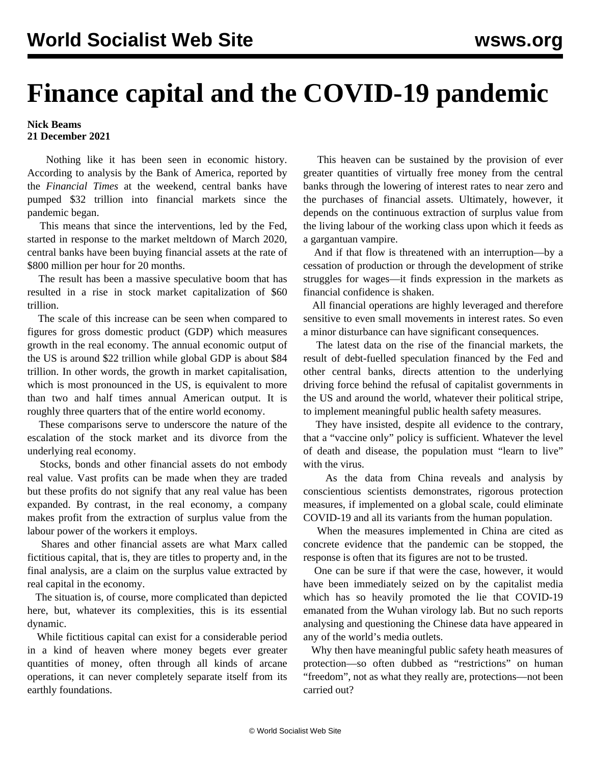## **Finance capital and the COVID-19 pandemic**

## **Nick Beams 21 December 2021**

 Nothing like it has been seen in economic history. According to analysis by the Bank of America, reported by the *Financial Times* at the weekend, central banks have pumped \$32 trillion into financial markets since the pandemic began.

 This means that since the interventions, led by the Fed, started in response to the market meltdown of March 2020, central banks have been buying financial assets at the rate of \$800 million per hour for 20 months.

 The result has been a massive speculative boom that has resulted in a rise in stock market capitalization of \$60 trillion.

 The scale of this increase can be seen when compared to figures for gross domestic product (GDP) which measures growth in the real economy. The annual economic output of the US is around \$22 trillion while global GDP is about \$84 trillion. In other words, the growth in market capitalisation, which is most pronounced in the US, is equivalent to more than two and half times annual American output. It is roughly three quarters that of the entire world economy.

 These comparisons serve to underscore the nature of the escalation of the stock market and its divorce from the underlying real economy.

 Stocks, bonds and other financial assets do not embody real value. Vast profits can be made when they are traded but these profits do not signify that any real value has been expanded. By contrast, in the real economy, a company makes profit from the extraction of surplus value from the labour power of the workers it employs.

 Shares and other financial assets are what Marx called fictitious capital, that is, they are titles to property and, in the final analysis, are a claim on the surplus value extracted by real capital in the economy.

 The situation is, of course, more complicated than depicted here, but, whatever its complexities, this is its essential dynamic.

 While fictitious capital can exist for a considerable period in a kind of heaven where money begets ever greater quantities of money, often through all kinds of arcane operations, it can never completely separate itself from its earthly foundations.

 This heaven can be sustained by the provision of ever greater quantities of virtually free money from the central banks through the lowering of interest rates to near zero and the purchases of financial assets. Ultimately, however, it depends on the continuous extraction of surplus value from the living labour of the working class upon which it feeds as a gargantuan vampire.

 And if that flow is threatened with an interruption—by a cessation of production or through the development of strike struggles for wages—it finds expression in the markets as financial confidence is shaken.

 All financial operations are highly leveraged and therefore sensitive to even small movements in interest rates. So even a minor disturbance can have significant consequences.

 The latest data on the rise of the financial markets, the result of debt-fuelled speculation financed by the Fed and other central banks, directs attention to the underlying driving force behind the refusal of capitalist governments in the US and around the world, whatever their political stripe, to implement meaningful public health safety measures.

 They have insisted, despite all evidence to the contrary, that a "vaccine only" policy is sufficient. Whatever the level of death and disease, the population must "learn to live" with the virus.

 As the data from China reveals and analysis by conscientious scientists demonstrates, rigorous protection measures, if implemented on a global scale, could eliminate COVID-19 and all its variants from the human population.

 When the measures implemented in China are cited as concrete evidence that the pandemic can be stopped, the response is often that its figures are not to be trusted.

 One can be sure if that were the case, however, it would have been immediately seized on by the capitalist media which has so heavily promoted the lie that COVID-19 emanated from the Wuhan virology lab. But no such reports analysing and questioning the Chinese data have appeared in any of the world's media outlets.

 Why then have meaningful public safety heath measures of protection—so often dubbed as "restrictions" on human "freedom", not as what they really are, protections—not been carried out?